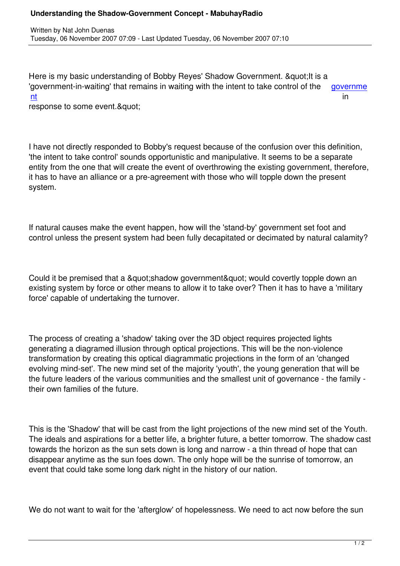Here is my basic understanding of Bobby Reyes' Shadow Government. & quot; It is a 'government-in-waiting' that remains in waiting with the intent to take control of the governme nt in the contract of the contract of the contract of the contract of the contract of the contract of the contract of the contract of the contract of the contract of the contract of the contract of the contract of the cont

response to some event. & quot;

Written by National Duenas and Duenas and Duenas and Duenas and Duenas and Duenas and Duenas and Duenas and Du

I have not directly responded to Bobby's request because of the confusion over this definition, 'the intent to take control' sounds opportunistic and manipulative. It seems to be a separate entity from the one that will create the event of overthrowing the existing government, therefore, it has to have an alliance or a pre-agreement with those who will topple down the present system.

If natural causes make the event happen, how will the 'stand-by' government set foot and control unless the present system had been fully decapitated or decimated by natural calamity?

Could it be premised that a &quot: shadow government & quot: would covertly topple down an existing system by force or other means to allow it to take over? Then it has to have a 'military force' capable of undertaking the turnover.

The process of creating a 'shadow' taking over the 3D object requires projected lights generating a diagramed illusion through optical projections. This will be the non-violence transformation by creating this optical diagrammatic projections in the form of an 'changed evolving mind-set'. The new mind set of the majority 'youth', the young generation that will be the future leaders of the various communities and the smallest unit of governance - the family their own families of the future.

This is the 'Shadow' that will be cast from the light projections of the new mind set of the Youth. The ideals and aspirations for a better life, a brighter future, a better tomorrow. The shadow cast towards the horizon as the sun sets down is long and narrow - a thin thread of hope that can disappear anytime as the sun foes down. The only hope will be the sunrise of tomorrow, an event that could take some long dark night in the history of our nation.

We do not want to wait for the 'afterglow' of hopelessness. We need to act now before the sun